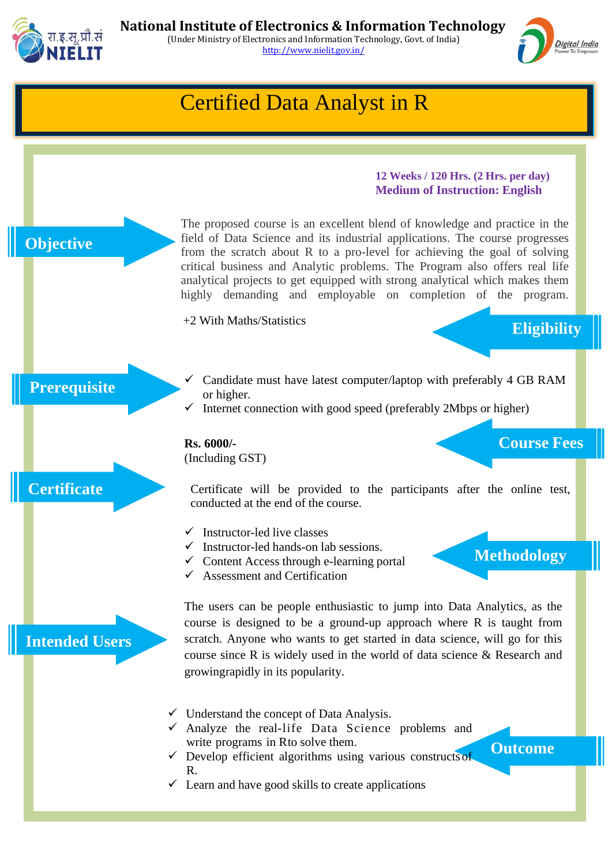



## ➢ Certified Data Analyst in R